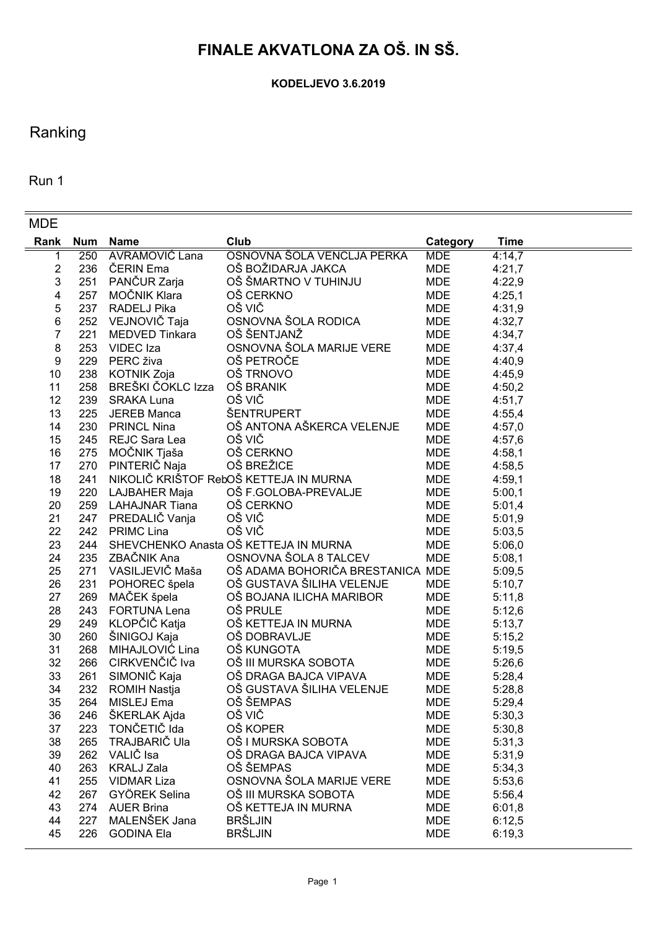# **FINALE AKVATLONA ZA OŠ. IN SŠ.**

**KODELJEVO 3.6.2019**

## Ranking

Run 1

| <b>MDE</b>              |            |                       |                                        |            |             |
|-------------------------|------------|-----------------------|----------------------------------------|------------|-------------|
| Rank                    | <b>Num</b> | <b>Name</b>           | Club                                   | Category   | <b>Time</b> |
| 1                       | 250        | <b>AVRAMOVIĆ Lana</b> | OSNOVNA ŠOLA VENCLJA PERKA             | <b>MDE</b> | 4:14,7      |
| $\overline{\mathbf{c}}$ | 236        | ČERIN Ema             | OŠ BOŽIDARJA JAKCA                     | <b>MDE</b> | 4:21,7      |
| 3                       | 251        | PANČUR Zarja          | OŠ ŠMARTNO V TUHINJU                   | <b>MDE</b> | 4:22,9      |
| 4                       |            | 257 MOČNIK Klara      | OŠ CERKNO                              | <b>MDE</b> | 4:25,1      |
| 5                       |            | 237 RADELJ Pika       | OŠ VIČ                                 | <b>MDE</b> | 4:31,9      |
| 6                       | 252        | VEJNOVIČ Taja         | OSNOVNA ŠOLA RODICA                    | <b>MDE</b> | 4:32,7      |
| 7                       | 221        | MEDVED Tinkara        | OŠ ŠENTJANŽ                            | <b>MDE</b> | 4:34,7      |
| 8                       | 253        | VIDEC Iza             | OSNOVNA ŠOLA MARIJE VERE               | <b>MDE</b> | 4:37,4      |
| 9                       | 229        | PERC živa             | OŠ PETROČE                             | <b>MDE</b> | 4:40,9      |
| 10                      | 238        | KOTNIK Zoja           | OŠ TRNOVO                              | <b>MDE</b> | 4:45,9      |
| 11                      | 258        | BREŠKI ČOKLC Izza     | OŠ BRANIK                              | <b>MDE</b> | 4:50,2      |
| 12                      | 239        | <b>SRAKA Luna</b>     | OŠ VIČ                                 | <b>MDE</b> | 4:51,7      |
| 13                      | 225        | <b>JEREB Manca</b>    | ŠENTRUPERT                             | <b>MDE</b> | 4:55,4      |
| 14                      | 230        | <b>PRINCL Nina</b>    | OŠ ANTONA AŠKERCA VELENJE              | <b>MDE</b> | 4:57,0      |
| 15                      | 245        | REJC Sara Lea         | OŠ VIČ                                 | <b>MDE</b> | 4:57,6      |
| 16                      | 275        | MOČNIK Tjaša          | OŠ CERKNO                              | <b>MDE</b> | 4:58,1      |
| 17                      | 270        | PINTERIČ Naja         | OŠ BREŽICE                             | <b>MDE</b> | 4:58,5      |
| 18                      | 241        |                       | NIKOLIČ KRIŠTOF RebOŠ KETTEJA IN MURNA | <b>MDE</b> | 4:59,1      |
| 19                      | 220        | LAJBAHER Maja         | OŠ F.GOLOBA-PREVALJE                   | <b>MDE</b> | 5:00,1      |
| 20                      | 259        | <b>LAHAJNAR Tiana</b> | OŠ CERKNO                              | <b>MDE</b> | 5:01,4      |
| 21                      | 247        | PREDALIČ Vanja        | OŠ VIČ                                 | <b>MDE</b> | 5:01,9      |
| 22                      | 242        | <b>PRIMC Lina</b>     | OŠ VIČ                                 | <b>MDE</b> | 5:03,5      |
| 23                      | 244        |                       | SHEVCHENKO Anasta OŠ KETTEJA IN MURNA  | <b>MDE</b> | 5:06,0      |
| 24                      | 235        | ZBAČNIK Ana           | OSNOVNA ŠOLA 8 TALCEV                  | <b>MDE</b> | 5:08,1      |
| 25                      | 271        | VASILJEVIČ Maša       | OŠ ADAMA BOHORIČA BRESTANICA MDE       |            | 5:09,5      |
| 26                      | 231        | POHOREC špela         | OŠ GUSTAVA ŠILIHA VELENJE              | <b>MDE</b> | 5:10,7      |
| 27                      | 269        | MAČEK špela           | OŠ BOJANA ILICHA MARIBOR               | <b>MDE</b> | 5:11,8      |
| 28                      | 243        | <b>FORTUNA Lena</b>   | OŠ PRULE                               | <b>MDE</b> | 5:12,6      |
| 29                      | 249        | KLOPČIČ Katja         | OŠ KETTEJA IN MURNA                    | <b>MDE</b> | 5:13,7      |
| 30                      | 260        | ŠINIGOJ Kaja          | OŠ DOBRAVLJE                           | <b>MDE</b> | 5:15,2      |
| 31                      | 268        | MIHAJLOVIĆ Lina       | OŠ KUNGOTA                             | <b>MDE</b> | 5:19,5      |
| 32                      | 266        | CIRKVENČIČ Iva        | OŠ III MURSKA SOBOTA                   | <b>MDE</b> | 5:26,6      |
| 33                      | 261        | SIMONIČ Kaja          | OŠ DRAGA BAJCA VIPAVA                  | MDE        | 5:28,4      |
| 34                      | 232        | <b>ROMIH Nastja</b>   | OŠ GUSTAVA ŠILIHA VELENJE              | <b>MDE</b> | 5:28,8      |
| 35                      | 264        | MISLEJ Ema            | OŠ ŠEMPAS                              | <b>MDE</b> | 5:29,4      |
| 36                      | 246        | SKERLAK Ajda          | OŠ VIČ                                 | <b>MDE</b> | 5:30,3      |
| 37                      | 223        | TONČETIČ Ida          | OŠ KOPER                               | <b>MDE</b> | 5:30,8      |
| 38                      | 265        | TRAJBARIČ Ula         | OŠ I MURSKA SOBOTA                     | <b>MDE</b> | 5:31,3      |
| 39                      | 262        | VALIČ Isa             | OŠ DRAGA BAJCA VIPAVA                  | <b>MDE</b> | 5:31,9      |
| 40                      | 263        | <b>KRALJ Zala</b>     | OŠ ŠEMPAS                              | <b>MDE</b> | 5:34,3      |
| 41                      | 255        | <b>VIDMAR Liza</b>    | OSNOVNA ŠOLA MARIJE VERE               | <b>MDE</b> | 5:53,6      |
| 42                      | 267        | GYÖREK Selina         | OŠ III MURSKA SOBOTA                   | <b>MDE</b> | 5:56,4      |
| 43                      | 274        | <b>AUER Brina</b>     | OŠ KETTEJA IN MURNA                    | <b>MDE</b> | 6:01,8      |
| 44                      | 227        | MALENŠEK Jana         | <b>BRŠLJIN</b>                         | <b>MDE</b> | 6:12,5      |
| 45                      | 226        | <b>GODINA Ela</b>     | <b>BRŠLJIN</b>                         | <b>MDE</b> | 6:19,3      |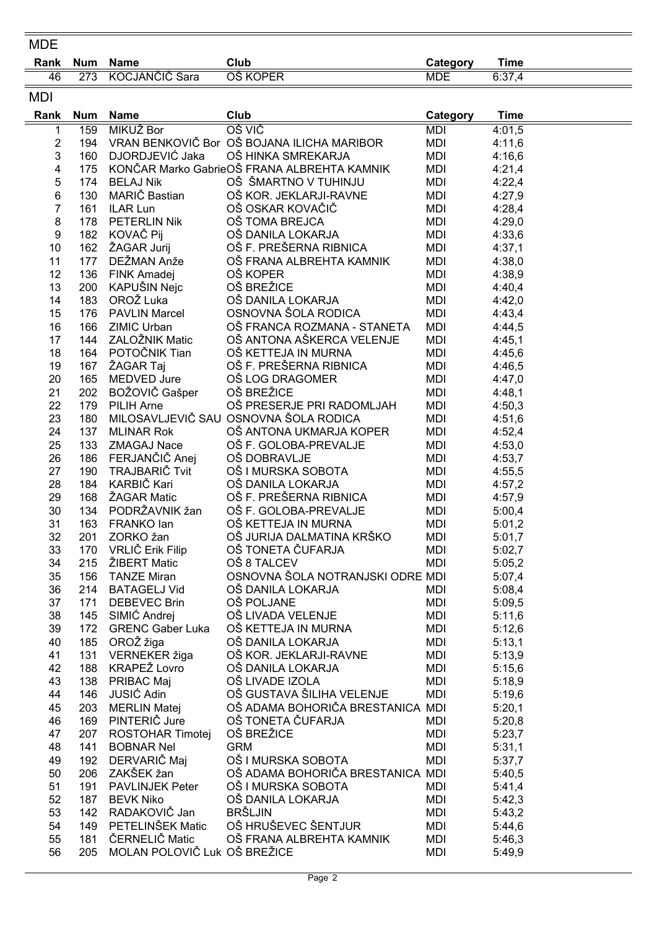| <b>MDE</b>     |                   |                                        |                                             |                        |                       |
|----------------|-------------------|----------------------------------------|---------------------------------------------|------------------------|-----------------------|
| Rank           | <b>Num</b>        | <b>Name</b>                            | Club                                        | Category               | <b>Time</b>           |
| 46             | 273               | KOCJANČIČ Sara                         | <b>OŠ KOPER</b>                             | <b>MDE</b>             | 6:37,4                |
| <b>MDI</b>     |                   |                                        |                                             |                        |                       |
|                |                   |                                        | Club                                        |                        |                       |
| Rank<br>1      | <b>Num</b><br>159 | <b>Name</b><br><b>MIKUŽ Bor</b>        | OŠ VIČ                                      | Category<br><b>MDI</b> | <b>Time</b><br>4:01,5 |
| $\overline{2}$ | 194               |                                        | VRAN BENKOVIČ Bor OŠ BOJANA ILICHA MARIBOR  | <b>MDI</b>             | 4:11,6                |
| 3              | 160               | DJORDJEVIĆ Jaka                        | OŠ HINKA SMREKARJA                          | <b>MDI</b>             | 4:16,6                |
| 4              | 175               |                                        | KONČAR Marko GabrieOŠ FRANA ALBREHTA KAMNIK | <b>MDI</b>             | 4:21,4                |
| 5              | 174               | <b>BELAJ Nik</b>                       | OŠ ŠMARTNO V TUHINJU                        | <b>MDI</b>             | 4:22,4                |
| 6              | 130               | MARIČ Bastian                          | OŠ KOR. JEKLARJI-RAVNE                      | <b>MDI</b>             | 4:27,9                |
| 7              | 161               | ILAR Lun                               | OŠ OSKAR KOVAČIČ                            | <b>MDI</b>             | 4:28,4                |
| 8              | 178               | <b>PETERLIN Nik</b>                    | OŠ TOMA BREJCA                              | <b>MDI</b>             | 4:29,0                |
| 9              | 182               | KOVAČ Pij                              | OŠ DANILA LOKARJA                           | MDI                    | 4:33,6                |
| 10             | 162               | ŽAGAR Jurij                            | OŠ F. PREŠERNA RIBNICA                      | MDI                    | 4:37,1                |
| 11             | 177               | DEŽMAN Anže                            | OŠ FRANA ALBREHTA KAMNIK                    | <b>MDI</b>             | 4:38,0                |
| 12             | 136               | FINK Amadej                            | OŠ KOPER                                    | MDI                    | 4:38,9                |
| 13             | 200               | KAPUŠIN Nejc                           | OŠ BREŽICE                                  | MDI                    | 4:40,4                |
| 14             | 183               | OROŽ Luka                              | OŠ DANILA LOKARJA                           | MDI                    | 4:42,0                |
| 15             | 176               | <b>PAVLIN Marcel</b>                   | OSNOVNA ŠOLA RODICA                         | <b>MDI</b>             | 4:43,4                |
| 16             | 166               | ZIMIC Urban                            | OŠ FRANCA ROZMANA - STANETA                 | <b>MDI</b>             | 4:44,5                |
| 17             | 144               | ZALOŽNIK Matic                         | OŠ ANTONA AŠKERCA VELENJE                   | <b>MDI</b>             | 4:45,1                |
| 18             | 164               | POTOČNIK Tian                          | OŠ KETTEJA IN MURNA                         | <b>MDI</b>             | 4:45,6                |
| 19             | 167               | ŽAGAR Taj                              | OŠ F. PREŠERNA RIBNICA                      | <b>MDI</b>             | 4:46,5                |
| 20             | 165               | MEDVED Jure                            | OŠ LOG DRAGOMER                             | <b>MDI</b>             | 4:47,0                |
| 21             | 202               | BOŽOVIČ Gašper                         | OŠ BREŽICE                                  | <b>MDI</b>             | 4:48,1                |
| 22             | 179               | PILIH Arne                             | OŠ PRESERJE PRI RADOMLJAH                   | <b>MDI</b>             | 4:50,3                |
| 23             | 180               |                                        | MILOSAVLJEVIČ SAU OSNOVNA ŠOLA RODICA       | <b>MDI</b>             | 4:51,6                |
| 24             | 137               | <b>MLINAR Rok</b>                      | OŠ ANTONA UKMARJA KOPER                     | <b>MDI</b>             | 4:52,4                |
| 25             | 133               | ZMAGAJ Nace                            | OŠ F. GOLOBA-PREVALJE                       | <b>MDI</b>             | 4:53,0                |
| 26             | 186               | FERJANČIČ Anej                         | OŠ DOBRAVLJE                                | <b>MDI</b>             | 4:53,7                |
| 27             | 190               | TRAJBARIČ Tvit                         | OŠ I MURSKA SOBOTA                          | <b>MDI</b>             | 4:55,5                |
| 28             | 184               | KARBIČ Kari                            | OŠ DANILA LOKARJA                           | <b>MDI</b>             | 4:57,2                |
| 29             | 168               | ŽAGAR Matic                            | OŠ F. PREŠERNA RIBNICA                      | <b>MDI</b>             | 4:57,9                |
| 30             | 134               | PODRŽAVNIK žan                         | OŠ F. GOLOBA-PREVALJE                       | <b>MDI</b>             | 5:00,4                |
| 31             | 163               | FRANKO lan                             | OŠ KETTEJA IN MURNA                         | <b>MDI</b>             | 5:01,2                |
| 32             | 201               | ZORKO žan                              | OŠ JURIJA DALMATINA KRŠKO                   | MDI                    | 5:01,7                |
| 33             | 170               | VRLIČ Erik Filip                       | OŠ TONETA ČUFARJA                           | <b>MDI</b>             | 5:02,7                |
| 34             | 215               | ŽIBERT Matic                           | OŠ 8 TALCEV                                 | MDI                    | 5:05,2                |
| 35             | 156               | <b>TANZE Miran</b>                     | OSNOVNA ŠOLA NOTRANJSKI ODRE MDI            |                        | 5:07,4                |
| 36             |                   | 214 BATAGELJ Vid                       | OŠ DANILA LOKARJA                           | MDI                    | 5:08,4                |
| 37             | 171               | <b>DEBEVEC Brin</b>                    | OŠ POLJANE                                  | <b>MDI</b>             | 5:09,5                |
| 38             | 145               | SIMIĆ Andrej                           | OŠ LIVADA VELENJE                           | MDI                    | 5:11,6                |
| 39             |                   | 172 GRENC Gaber Luka                   | OŠ KETTEJA IN MURNA                         | MDI                    | 5:12,6                |
| 40             |                   | 185 OROŽ žiga                          | OŠ DANILA LOKARJA                           | MDI                    | 5:13,1                |
| 41             | 131               | VERNEKER žiga                          | OŠ KOR. JEKLARJI-RAVNE                      | MDI                    | 5:13,9                |
| 42             |                   | 188 KRAPEŽ Lovro                       | OŠ DANILA LOKARJA                           | MDI                    | 5:15,6                |
| 43             |                   | 138 PRIBAC Maj                         | OŠ LIVADE IZOLA                             | <b>MDI</b>             | 5:18,9                |
| 44             | 146               | JUSIĆ Adin                             | OŠ GUSTAVA ŠILIHA VELENJE                   | MDI                    | 5:19,6                |
| 45             |                   | 203 MERLIN Matej                       | OŠ ADAMA BOHORIČA BRESTANICA MDI            |                        | 5:20,1                |
| 46             |                   | 169 PINTERIČ Jure                      | OŠ TONETA ČUFARJA                           | MDI                    | 5:20,8                |
| 47             |                   | 207 ROSTOHAR Timotej                   | OŠ BREŽICE                                  | MDI                    | 5:23,7                |
| 48             | 141               | <b>BOBNAR Nel</b>                      | <b>GRM</b>                                  | MDI                    | 5:31,1                |
| 49             | 192               | DERVARIČ Maj                           | OŠ I MURSKA SOBOTA                          | MDI                    | 5:37,7                |
| 50             | 206               | ZAKŠEK žan                             | OŠ ADAMA BOHORIČA BRESTANICA MDI            |                        | 5:40,5                |
| 51             |                   | 191 PAVLINJEK Peter                    | OŠ I MURSKA SOBOTA                          | MDI                    | 5:41,4                |
| 52             | 187               | <b>BEVK Niko</b>                       | OŠ DANILA LOKARJA                           | MDI                    | 5:42,3                |
| 53             |                   | 142 RADAKOVIČ Jan                      | <b>BRŠLJIN</b><br>OŠ HRUŠEVEC ŠENTJUR       | <b>MDI</b>             | 5:43,2                |
| 54             |                   | 149 PETELINŠEK Matic<br>ČERNELIČ Matic |                                             | <b>MDI</b>             | 5:44,6                |
| 55<br>56       | 181<br>205        | MOLAN POLOVIČ Luk OŠ BREŽICE           | OŠ FRANA ALBREHTA KAMNIK                    | MDI                    | 5:46,3                |
|                |                   |                                        |                                             | MDI                    | 5:49,9                |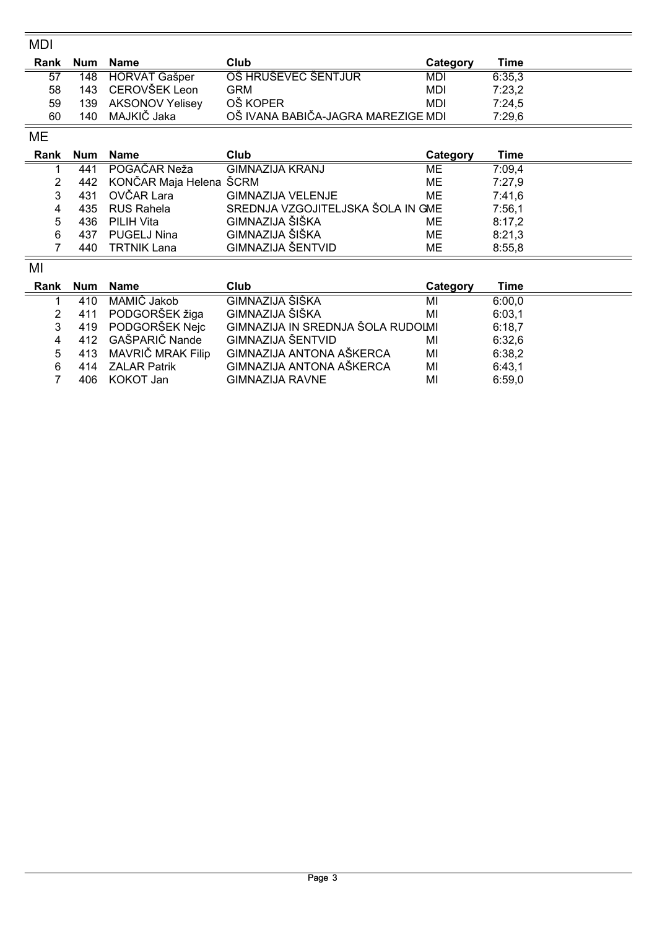| MDI  |            |                         |                                    |            |             |
|------|------------|-------------------------|------------------------------------|------------|-------------|
| Rank | <b>Num</b> | <b>Name</b>             | Club                               | Category   | <b>Time</b> |
| 57   | 148        | <b>HORVAT Gašper</b>    | OŠ HRUŠEVEC ŠENTJUR                | MDI        | 6:35,3      |
| 58   | 143        | CEROVŠEK Leon           | <b>GRM</b>                         | <b>MDI</b> | 7:23,2      |
| 59   | 139        | <b>AKSONOV Yelisey</b>  | OŠ KOPER                           | <b>MDI</b> | 7:24,5      |
| 60   | 140        | MAJKIČ Jaka             | OŠ IVANA BABIČA-JAGRA MAREZIGE MDI |            | 7:29,6      |
| ME   |            |                         |                                    |            |             |
| Rank | <b>Num</b> | <b>Name</b>             | Club                               | Category   | <b>Time</b> |
| 1    | 441        | POGAČAR Neža            | <b>GIMNAZIJA KRANJ</b>             | МE         | 7:09,4      |
| 2    | 442        | KONČAR Maja Helena ŠCRM |                                    | ME         | 7:27,9      |
| 3    | 431        | OVČAR Lara              | <b>GIMNAZIJA VELENJE</b>           | ME         | 7:41,6      |
| 4    | 435        | <b>RUS Rahela</b>       | SREDNJA VZGOJITELJSKA ŠOLA IN GME  |            | 7:56,1      |
| 5    | 436        | <b>PILIH Vita</b>       | GIMNAZIJA ŠIŠKA                    | ME         | 8:17,2      |
| 6    | 437        | <b>PUGELJ Nina</b>      | GIMNAZIJA ŠIŠKA                    | ME         | 8:21,3      |
| 7    | 440        | <b>TRTNIK Lana</b>      | <b>GIMNAZIJA ŠENTVID</b>           | ME         | 8:55,8      |
| MI   |            |                         |                                    |            |             |
| Rank | <b>Num</b> | <b>Name</b>             | Club                               | Category   | <b>Time</b> |
| 1    | 410        | MAMIČ Jakob             | GIMNAZIJA ŠIŠKA                    | MI         | 6:00,0      |
| 2    | 411        | PODGORŠEK žiga          | GIMNAZIJA ŠIŠKA                    | MI         | 6:03,1      |
| 3    | 419        | PODGORŠEK Nejc          | GIMNAZIJA IN SREDNJA ŠOLA RUDOLMI  |            | 6:18,7      |
| 4    | 412        | GAŠPARIČ Nande          | <b>GIMNAZIJA ŠENTVID</b>           | MI         | 6:32,6      |
| 5    | 413        | MAVRIČ MRAK Filip       | GIMNAZIJA ANTONA AŠKERCA           | MI         | 6:38,2      |
| 6    | 414        | <b>ZALAR Patrik</b>     | GIMNAZIJA ANTONA AŠKERCA           | MI         | 6:43,1      |
| 7    | 406        | KOKOT Jan               | <b>GIMNAZIJA RAVNE</b>             | MI         | 6:59,0      |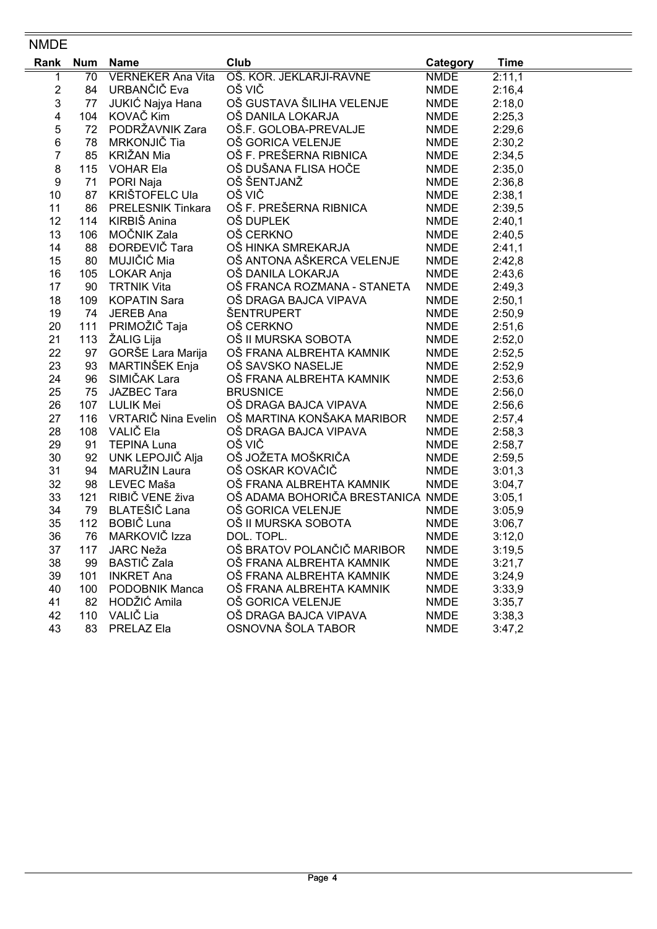### NMDE

| Rank | <b>Num</b> | Name                     | Club                                           | Category    | <b>Time</b> |
|------|------------|--------------------------|------------------------------------------------|-------------|-------------|
| 1    | 70         | <b>VERNEKER Ana Vita</b> | OŠ. KOR. JEKLARJI-RAVNE                        | <b>NMDE</b> | 2:11,1      |
| 2    |            | 84 URBANČIČ Eva          | OŠ VIČ                                         | <b>NMDE</b> | 2:16,4      |
| 3    | 77         | JUKIĆ Najya Hana         | OŠ GUSTAVA ŠILIHA VELENJE                      | NMDE        | 2:18,0      |
| 4    |            | 104 KOVAČ Kim            | OŠ DANILA LOKARJA                              | NMDE        | 2:25,3      |
| 5    |            | 72 PODRŽAVNIK Zara       | OŠ.F. GOLOBA-PREVALJE                          | NMDE        | 2:29,6      |
| 6    | 78         | MRKONJIČ Tia             | OŠ GORICA VELENJE                              | NMDE        | 2:30,2      |
| 7    | 85         | KRIŽAN Mia               | OŠ F. PREŠERNA RIBNICA                         | <b>NMDE</b> | 2:34,5      |
| 8    |            | 115 VOHAR Ela            | OŠ DUŠANA FLISA HOČE<br>OŠ ŠENT IANŽ           | <b>NMDE</b> | 2:35,0      |
| 9    | 71         | PORI Naja                | OŠ ŠENTJANŽ                                    | <b>NMDE</b> | 2:36,8      |
| 10   | 87         | KRIŠTOFELC Ula           | OŠ VIČ                                         | <b>NMDE</b> | 2:38,1      |
| 11   | 86         | <b>PRELESNIK Tinkara</b> | OŠ F. PREŠERNA RIBNICA                         | <b>NMDE</b> | 2:39,5      |
| 12   |            | 114 KIRBIŠ Anina         | OŠ DUPLEK                                      | <b>NMDE</b> | 2:40,1      |
| 13   | 106        | MOČNIK Zala              | OŠ CERKNO                                      | <b>NMDE</b> | 2:40,5      |
| 14   | 88         | ĐORĐEVIČ Tara            | OŠ HINKA SMREKARJA                             | NMDE        | 2:41,1      |
| 15   | 80         | MUJIČIĆ Mia              | OŠ ANTONA AŠKERCA VELENJE                      | <b>NMDE</b> | 2:42,8      |
| 16   | 105        | LOKAR Anja               | OŠ DANILA LOKARJA                              | <b>NMDE</b> | 2:43,6      |
| 17   | 90         | <b>TRTNIK Vita</b>       | OŠ FRANCA ROZMANA - STANETA                    | <b>NMDE</b> | 2:49,3      |
| 18   | 109        | <b>KOPATIN Sara</b>      | OŠ DRAGA BAJCA VIPAVA                          | <b>NMDE</b> | 2:50,1      |
| 19   | 74         | JEREB Ana                | ŠENTRUPERT                                     | <b>NMDE</b> | 2:50,9      |
| 20   | 111        | PRIMOŽIČ Taja            | OŠ CERKNO                                      | <b>NMDE</b> | 2:51,6      |
| 21   | 113        | ŽALIG Lija               | OŠ II MURSKA SOBOTA                            | <b>NMDE</b> | 2:52,0      |
| 22   | 97         | GORŠE Lara Marija        | OŠ FRANA ALBREHTA KAMNIK                       | <b>NMDE</b> | 2:52,5      |
| 23   | 93         | MARTINŠEK Enja           | OŠ SAVSKO NASELJE                              | <b>NMDE</b> | 2:52,9      |
| 24   | 96         | SIMIČAK Lara             | OŠ FRANA ALBREHTA KAMNIK                       | <b>NMDE</b> | 2:53,6      |
| 25   | 75         | JAZBEC Tara              | <b>BRUSNICE</b>                                | <b>NMDE</b> | 2:56,0      |
| 26   | 107        | LULIK Mei                | OŠ DRAGA BAJCA VIPAVA                          | <b>NMDE</b> | 2:56,6      |
| 27   | 116        |                          | VRTARIČ Nina Evelin OŠ MARTINA KONŠAKA MARIBOR | <b>NMDE</b> | 2:57,4      |
| 28   | 108        | VALIČ Ela                | OŠ DRAGA BAJCA VIPAVA                          | <b>NMDE</b> | 2:58,3      |
| 29   | 91         | <b>TEPINA Luna</b>       | OŠ VIČ                                         | <b>NMDE</b> | 2:58,7      |
| 30   | 92         | UNK LEPOJIČ Alja         | OŠ JOŽETA MOŠKRIČA                             | <b>NMDE</b> | 2:59,5      |
| 31   | 94         | MARUŽIN Laura            | OŠ OSKAR KOVAČIČ                               | <b>NMDE</b> | 3:01,3      |
| 32   | 98         | LEVEC Maša               | OŠ FRANA ALBREHTA KAMNIK                       | <b>NMDE</b> | 3:04,7      |
| 33   | 121        | RIBIČ VENE živa          | OŠ ADAMA BOHORIČA BRESTANICA NMDE              |             | 3:05,1      |
| 34   | 79         | BLATEŠIČ Lana            | OŠ GORICA VELENJE                              | NMDE        | 3:05,9      |
| 35   | 112        | BOBIČ Luna               | OŠ II MURSKA SOBOTA                            | <b>NMDE</b> | 3:06,7      |
| 36   | 76         | MARKOVIČ Izza            | DOL. TOPL.                                     | <b>NMDE</b> | 3:12,0      |
| 37   | 117        | JARC Neža                | OŠ BRATOV POLANČIČ MARIBOR                     | <b>NMDE</b> | 3:19,5      |
| 38   | 99         | BASTIČ Zala              | OŠ FRANA ALBREHTA KAMNIK                       | <b>NMDE</b> | 3:21,7      |
| 39   | 101        | <b>INKRET Ana</b>        | OŠ FRANA ALBREHTA KAMNIK                       | <b>NMDE</b> | 3:24,9      |
| 40   | 100        | <b>PODOBNIK Manca</b>    | OŠ FRANA ALBREHTA KAMNIK                       | <b>NMDE</b> | 3:33,9      |
| 41   | 82         | HODŽIĆ Amila             | OŠ GORICA VELENJE                              | <b>NMDE</b> | 3:35,7      |
| 42   | 110        | VALIČ Lia                | OŠ DRAGA BAJCA VIPAVA                          | <b>NMDE</b> | 3:38,3      |
| 43   | 83         | PRELAZ Ela               | OSNOVNA ŠOLA TABOR                             | <b>NMDE</b> | 3:47,2      |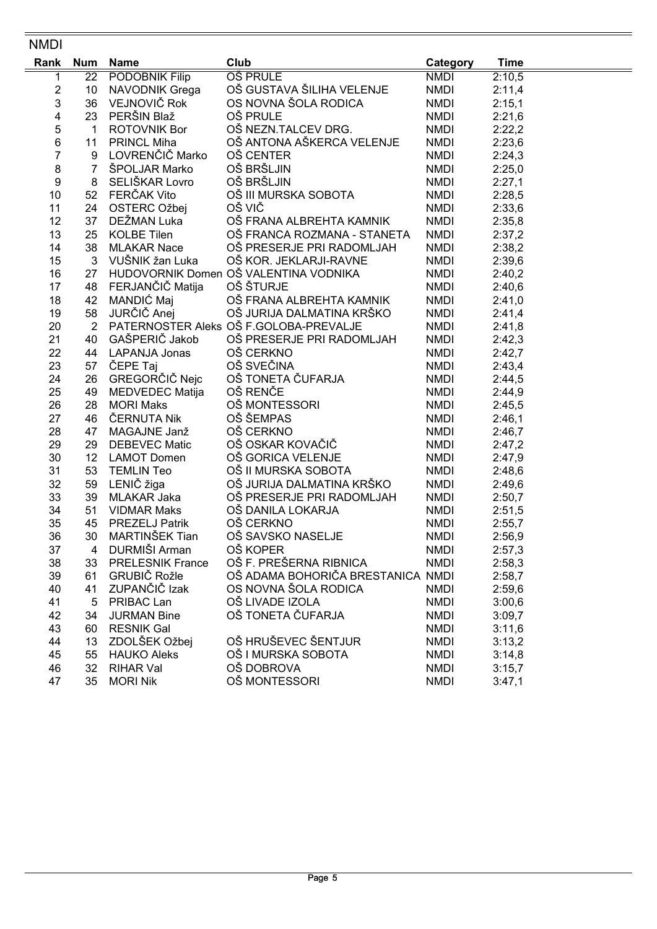#### NMDI

| Rank           | <b>Num</b>     | <b>Name</b>             | Club                                   | Category    | <b>Time</b> |
|----------------|----------------|-------------------------|----------------------------------------|-------------|-------------|
| 1              | 22             | <b>PODOBNIK Filip</b>   | <b>OŠ PRULE</b>                        | <b>NMDI</b> | 2:10,5      |
| $\overline{c}$ | 10             | <b>NAVODNIK Grega</b>   | OŠ GUSTAVA ŠILIHA VELENJE              | <b>NMDI</b> | 2:11,4      |
| 3              | 36             | VEJNOVIČ Rok            | OS NOVNA ŠOLA RODICA                   | <b>NMDI</b> | 2:15,1      |
| 4              | 23             | PERŠIN Blaž             | OŠ PRULE                               | <b>NMDI</b> | 2:21,6      |
| 5              | $\mathbf 1$    | <b>ROTOVNIK Bor</b>     | OŠ NEZN.TALCEV DRG.                    | <b>NMDI</b> | 2:22,2      |
| $\,6$          | 11             | <b>PRINCL Miha</b>      | OŠ ANTONA AŠKERCA VELENJE              | <b>NMDI</b> | 2:23,6      |
| 7              | 9              | LOVRENČIČ Marko         | OŠ CENTER                              | <b>NMDI</b> | 2:24,3      |
| 8              | $\overline{7}$ | ŠPOLJAR Marko           | OŠ BRŠLJIN                             | <b>NMDI</b> | 2:25,0      |
| 9              | 8              | SELIŠKAR Lovro          | OŠ BRŠLJIN                             | <b>NMDI</b> | 2:27,1      |
| 10             | 52             | FERČAK Vito             | OŠ III MURSKA SOBOTA                   | <b>NMDI</b> | 2:28,5      |
| 11             | 24             | OSTERC Ožbej            | OŠ VIČ                                 | <b>NMDI</b> | 2:33,6      |
| 12             | 37             | DEŽMAN Luka             | OŠ FRANA ALBREHTA KAMNIK               | <b>NMDI</b> | 2:35,8      |
| 13             | 25             | <b>KOLBE Tilen</b>      | OŠ FRANCA ROZMANA - STANETA            | <b>NMDI</b> | 2:37,2      |
| 14             | 38             | <b>MLAKAR Nace</b>      | OŠ PRESERJE PRI RADOMLJAH              | <b>NMDI</b> | 2:38,2      |
| 15             | 3              | VUŠNIK žan Luka         | OŠ KOR. JEKLARJI-RAVNE                 | <b>NMDI</b> | 2:39,6      |
| 16             | 27             |                         | HUDOVORNIK Domen OŠ VALENTINA VODNIKA  | <b>NMDI</b> | 2:40,2      |
| 17             | 48             | FERJANČIČ Matija        | OŠ ŠTURJE                              | <b>NMDI</b> | 2:40,6      |
| 18             | 42             | MANDIĆ Maj              | OŠ FRANA ALBREHTA KAMNIK               | <b>NMDI</b> | 2:41,0      |
| 19             | 58             | JURČIČ Anej             | OŠ JURIJA DALMATINA KRŠKO              | <b>NMDI</b> | 2:41,4      |
| 20             | $\overline{2}$ |                         | PATERNOSTER Aleks OŠ F.GOLOBA-PREVALJE | <b>NMDI</b> | 2:41,8      |
| 21             | 40             | GAŠPERIČ Jakob          | OŠ PRESERJE PRI RADOMLJAH              | <b>NMDI</b> | 2:42,3      |
| 22             |                | 44 LAPANJA Jonas        | OŠ CERKNO                              | <b>NMDI</b> | 2:42,7      |
| 23             | 57             | ČEPE Taj                | OŠ SVEČINA                             | <b>NMDI</b> | 2:43,4      |
| 24             | 26             | GREGORČIČ Nejc          | OŠ TONETA ČUFARJA                      | <b>NMDI</b> | 2:44,5      |
| 25             | 49             | MEDVEDEC Matija         | OŠ RENČE                               | <b>NMDI</b> | 2:44,9      |
| 26             | 28             | <b>MORI Maks</b>        | OŠ MONTESSORI                          | <b>NMDI</b> | 2:45,5      |
| 27             | 46             | ČERNUTA Nik             | OŠ ŠEMPAS                              | <b>NMDI</b> | 2:46,1      |
| 28             | 47             | MAGAJNE Janž            | OŠ CERKNO                              | <b>NMDI</b> | 2:46,7      |
| 29             | 29             | <b>DEBEVEC Matic</b>    | OŠ OSKAR KOVAČIČ                       | <b>NMDI</b> | 2:47,2      |
| 30             | 12             | <b>LAMOT Domen</b>      | OŠ GORICA VELENJE                      | <b>NMDI</b> | 2:47,9      |
| 31             | 53             | <b>TEMLIN Teo</b>       | OŠ II MURSKA SOBOTA                    | <b>NMDI</b> | 2:48,6      |
| 32             | 59             | LENIČ žiga              | OŠ JURIJA DALMATINA KRŠKO              | <b>NMDI</b> | 2:49,6      |
| 33             | 39             | MLAKAR Jaka             | OŠ PRESERJE PRI RADOMLJAH              | <b>NMDI</b> | 2:50,7      |
| 34             | 51             | <b>VIDMAR Maks</b>      | OŠ DANILA LOKARJA                      | <b>NMDI</b> | 2:51,5      |
| 35             | 45             | <b>PREZELJ Patrik</b>   | OŠ CERKNO                              | <b>NMDI</b> | 2:55,7      |
| 36             | 30             | MARTINŠEK Tian          | OŠ SAVSKO NASELJE                      | <b>NMDI</b> | 2:56,9      |
| 37             | 4              | DURMIŠI Arman           | OŠ KOPER                               | <b>NMDI</b> | 2:57,3      |
| 38             | 33             | <b>PRELESNIK France</b> | OŠ F. PREŠERNA RIBNICA                 | <b>NMDI</b> | 2:58,3      |
| 39             | 61             | GRUBIČ Rožle            | OŠ ADAMA BOHORIČA BRESTANICA NMDI      |             | 2:58,7      |
| 40             | 41             | ZUPANČIČ Izak           | OS NOVNA ŠOLA RODICA                   | <b>NMDI</b> | 2:59,6      |
| 41             | 5              | PRIBAC Lan              | OŠ LIVADE IZOLA                        | <b>NMDI</b> | 3:00,6      |
| 42             | 34             | <b>JURMAN Bine</b>      | OŠ TONETA ČUFARJA                      | <b>NMDI</b> | 3:09,7      |
| 43             | 60             | <b>RESNIK Gal</b>       |                                        | <b>NMDI</b> | 3:11,6      |
| 44             | 13             | ZDOLŠEK Ožbej           | OŠ HRUŠEVEC ŠENTJUR                    | <b>NMDI</b> | 3:13,2      |
| 45             | 55             | <b>HAUKO Aleks</b>      | OŠ I MURSKA SOBOTA                     | <b>NMDI</b> | 3:14,8      |
| 46             | 32             | <b>RIHAR Val</b>        | OŠ DOBROVA                             | <b>NMDI</b> | 3:15,7      |
| 47             | 35             | <b>MORI Nik</b>         | OŠ MONTESSORI                          | <b>NMDI</b> | 3:47,1      |
|                |                |                         |                                        |             |             |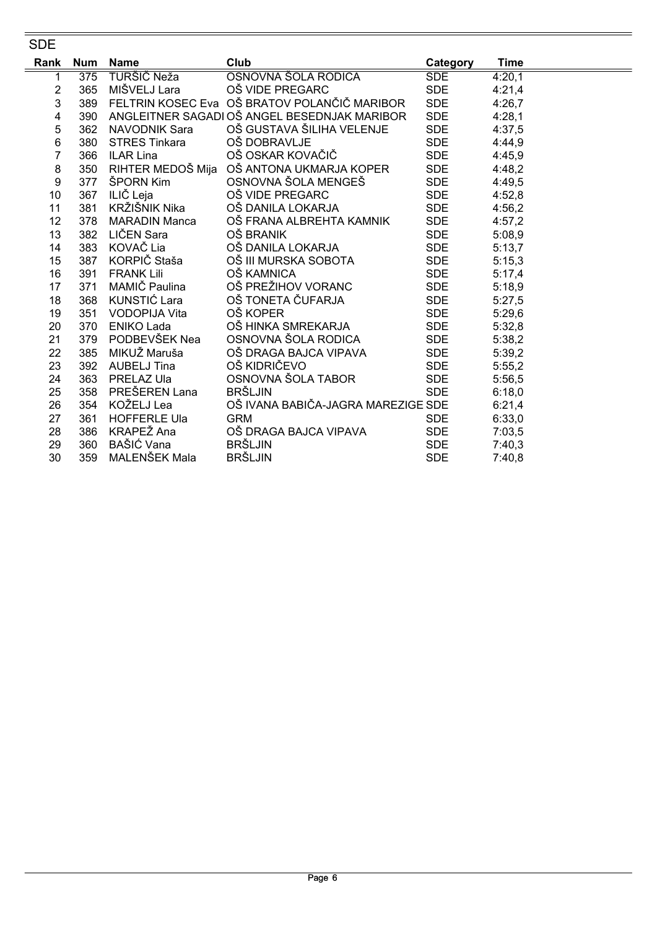#### **SDE**

| Rank | <b>Num</b> | <b>Name</b>          | Club                                         | Category   | <b>Time</b> |
|------|------------|----------------------|----------------------------------------------|------------|-------------|
| 1    | 375        | TURŠIČ Neža          | OSNOVNA ŠOLA RODICA                          | <b>SDE</b> | 4:20,1      |
| 2    | 365        | MIŠVELJ Lara         | OŠ VIDE PREGARC                              | <b>SDE</b> | 4:21,4      |
| 3    | 389        |                      | FELTRIN KOSEC Eva OŠ BRATOV POLANČIČ MARIBOR | <b>SDE</b> | 4:26,7      |
| 4    | 390        |                      | ANGLEITNER SAGADI OŠ ANGEL BESEDNJAK MARIBOR | <b>SDE</b> | 4:28,1      |
| 5    | 362        | <b>NAVODNIK Sara</b> | OŠ GUSTAVA ŠILIHA VELENJE                    | <b>SDE</b> | 4:37,5      |
| 6    | 380        | <b>STRES Tinkara</b> | OŠ DOBRAVLJE                                 | <b>SDE</b> | 4:44,9      |
| 7    | 366        | <b>ILAR Lina</b>     | OŠ OSKAR KOVAČIČ                             | SDE        | 4:45,9      |
| 8    | 350        |                      | RIHTER MEDOŠ Mija   OŠ ANTONA UKMARJA KOPER  | SDE        | 4:48,2      |
| 9    | 377        | ŠPORN Kim            | OSNOVNA ŠOLA MENGEŠ                          | SDE        | 4:49,5      |
| 10   | 367        | ILIČ Leja            | OŠ VIDE PREGARC                              | <b>SDE</b> | 4:52,8      |
| 11   | 381        | KRŽIŠNIK Nika        | OŠ DANILA LOKARJA                            | <b>SDE</b> | 4:56,2      |
| 12   | 378        | <b>MARADIN Manca</b> | OŠ FRANA ALBREHTA KAMNIK                     | <b>SDE</b> | 4:57,2      |
| 13   | 382        | LIČEN Sara           | OŠ BRANIK                                    | <b>SDE</b> | 5:08,9      |
| 14   | 383        | KOVAČ Lia            | OŠ DANILA LOKARJA                            | SDE        | 5:13,7      |
| 15   | 387        | KORPIČ Staša         | OŠ III MURSKA SOBOTA                         | <b>SDE</b> | 5:15,3      |
| 16   | 391        | <b>FRANK Lili</b>    | OŠ KAMNICA                                   | <b>SDE</b> | 5:17,4      |
| 17   | 371        | MAMIČ Paulina        | OŠ PREŽIHOV VORANC                           | SDE        | 5:18,9      |
| 18   | 368        | KUNSTIĆ Lara         | OŠ TONETA ČUFARJA                            | <b>SDE</b> | 5:27,5      |
| 19   | 351        | <b>VODOPIJA Vita</b> | OŠ KOPER                                     | <b>SDE</b> | 5:29,6      |
| 20   | 370        | <b>ENIKO Lada</b>    | OŠ HINKA SMREKARJA                           | <b>SDE</b> | 5:32,8      |
| 21   | 379        | PODBEVŠEK Nea        | OSNOVNA ŠOLA RODICA                          | SDE        | 5:38,2      |
| 22   | 385        | MIKUŽ Maruša         | OŠ DRAGA BAJCA VIPAVA                        | <b>SDE</b> | 5:39,2      |
| 23   | 392        | AUBELJ Tina          | OŠ KIDRIČEVO                                 | <b>SDE</b> | 5:55,2      |
| 24   | 363        | PRELAZ Ula           | OSNOVNA ŠOLA TABOR                           | <b>SDE</b> | 5:56,5      |
| 25   | 358        | PREŠEREN Lana        | <b>BRŠLJIN</b>                               | <b>SDE</b> | 6:18,0      |
| 26   | 354        | KOŽELJ Lea           | OŠ IVANA BABIČA-JAGRA MAREZIGE SDE           |            | 6:21,4      |
| 27   | 361        | <b>HOFFERLE Ula</b>  | <b>GRM</b>                                   | <b>SDE</b> | 6:33,0      |
| 28   | 386        | KRAPEŽ Ana           | OŠ DRAGA BAJCA VIPAVA                        | <b>SDE</b> | 7:03,5      |
| 29   | 360        | BAŠIĆ Vana           | <b>BRŠLJIN</b>                               | <b>SDE</b> | 7:40,3      |
| 30   | 359        | MALENŠEK Mala        | <b>BRŠLJIN</b>                               | <b>SDE</b> | 7:40,8      |